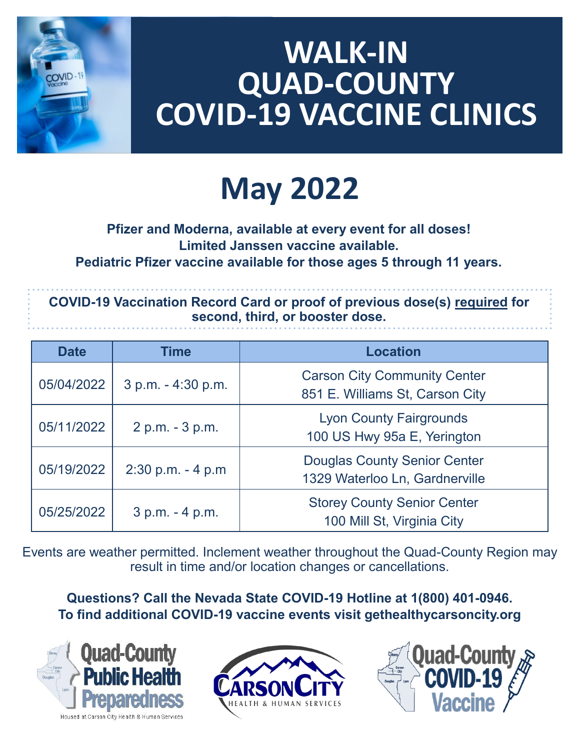

### **WALK-IN QUAD-COUNTY COVID-19 VACCINE CLINICS**

# **May 2022**

#### **Pfizer and Moderna, available at every event for all doses! Limited Janssen vaccine available. Pediatric Pfizer vaccine available for those ages 5 through 11 years.**

**COVID-19 Vaccination Record Card or proof of previous dose(s) required for second, third, or booster dose.**

| <b>Date</b> | <b>Time</b>          | <b>Location</b>                                                        |
|-------------|----------------------|------------------------------------------------------------------------|
| 05/04/2022  | 3 p.m. - 4:30 p.m.   | <b>Carson City Community Center</b><br>851 E. Williams St, Carson City |
| 05/11/2022  | 2 p.m. - 3 p.m.      | <b>Lyon County Fairgrounds</b><br>100 US Hwy 95a E, Yerington          |
| 05/19/2022  | $2:30$ p.m. $-4$ p.m | <b>Douglas County Senior Center</b><br>1329 Waterloo Ln, Gardnerville  |
| 05/25/2022  | 3 p.m. - 4 p.m.      | <b>Storey County Senior Center</b><br>100 Mill St, Virginia City       |

Events are weather permitted. Inclement weather throughout the Quad-County Region may result in time and/or location changes or cancellations.

**Questions? Call the Nevada State COVID-19 Hotline at 1(800) 401-0946. To find additional COVID-19 vaccine events visit gethealthycarsoncity.org**